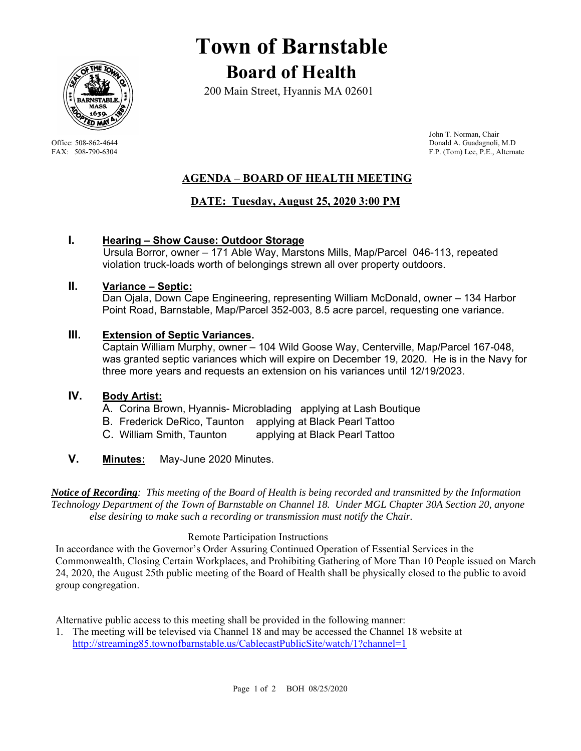

# **Town of Barnstable Board of Health**

200 Main Street, Hyannis MA 02601

 John T. Norman, Chair Office: 508-862-4644 Donald A. Guadagnoli, M.D FAX: 508-790-6304 F.P. (Tom) Lee, P.E., Alternate

# **AGENDA – BOARD OF HEALTH MEETING**

# **DATE: Tuesday, August 25, 2020 3:00 PM**

## **I. Hearing – Show Cause: Outdoor Storage**

Ursula Borror, owner – 171 Able Way, Marstons Mills, Map/Parcel 046-113, repeated violation truck-loads worth of belongings strewn all over property outdoors.

#### **II. Variance – Septic:**

Dan Ojala, Down Cape Engineering, representing William McDonald, owner – 134 Harbor Point Road, Barnstable, Map/Parcel 352-003, 8.5 acre parcel, requesting one variance.

## **III. Extension of Septic Variances.**

Captain William Murphy, owner – 104 Wild Goose Way, Centerville, Map/Parcel 167-048, was granted septic variances which will expire on December 19, 2020. He is in the Navy for three more years and requests an extension on his variances until 12/19/2023.

## **IV. Body Artist:**

- A. Corina Brown, Hyannis- Microblading applying at Lash Boutique
- B. Frederick DeRico, Taunton applying at Black Pearl Tattoo
- C. William Smith, Taunton applying at Black Pearl Tattoo
- **V. Minutes:** May-June 2020 Minutes.

*Notice of Recording: This meeting of the Board of Health is being recorded and transmitted by the Information Technology Department of the Town of Barnstable on Channel 18. Under MGL Chapter 30A Section 20, anyone else desiring to make such a recording or transmission must notify the Chair.* 

## Remote Participation Instructions

In accordance with the Governor's Order Assuring Continued Operation of Essential Services in the Commonwealth, Closing Certain Workplaces, and Prohibiting Gathering of More Than 10 People issued on March 24, 2020, the August 25th public meeting of the Board of Health shall be physically closed to the public to avoid group congregation.

Alternative public access to this meeting shall be provided in the following manner:

1. The meeting will be televised via Channel 18 and may be accessed the Channel 18 website at http://streaming85.townofbarnstable.us/CablecastPublicSite/watch/1?channel=1